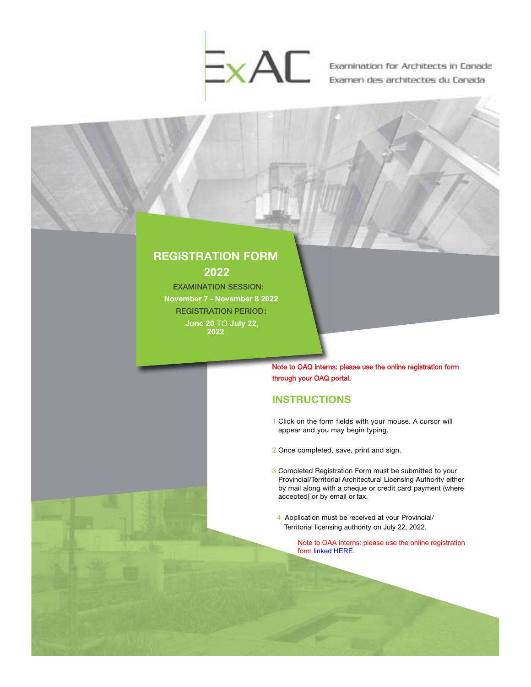

Examination for Architects in Canada Examen des architectes du Canada

# REGISTRATION FORM **2022**

EXAMINATION SESSION: **November 7 - November 8 2022** REGISTRATION PERIOD : **June 20** TO **July 22**, **2022**

> Note to OAQ interns: please use the online registration form through your OAQ portal.

### **INSTRUCTIONS**

- 1 Click on the form fields with your mouse. A cursor will appear and you may begin typing.
- 2 Once completed, save, print and sign.
- 3 Completed Registration Form must be submitted to your Provincial/Territorial Architectural Licensing Authority either by mail along with a cheque or credit card payment (where accepted) or by email or fax.
- 4 Application must be received at your Provincial/ Territorial licensing authority on July 22, 2022.
	- [Note to OAA interns: please use the online registration](https://secure.oaa.on.ca/OAA/ContactManagement/Sign_In.aspx?WebsiteKey=dde44d3b-16e4-4f00-a7ad-7f0f5928fffb&LoginRedirect=true&returnurl=%2fOAA%2fEvents%2fEXAC_Registration.aspx%3fEventKey%3dEXACNOV22)  form linked HERE.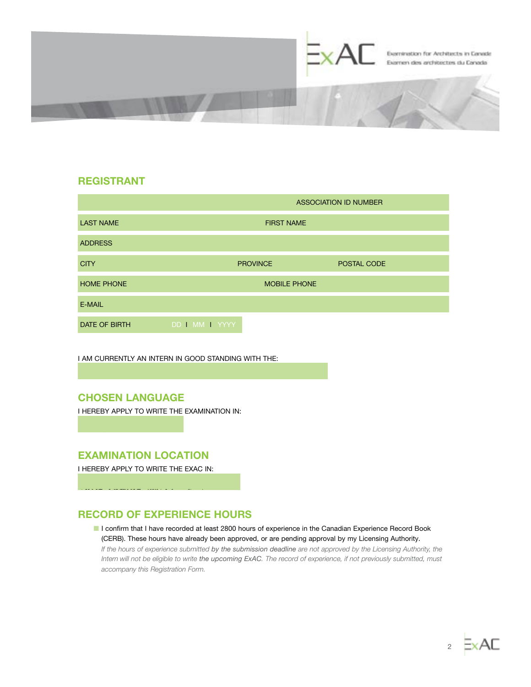

### REGISTRANT

|                   | <b>ASSOCIATION ID NUMBER</b> |                 |             |  |
|-------------------|------------------------------|-----------------|-------------|--|
| <b>LAST NAME</b>  | <b>FIRST NAME</b>            |                 |             |  |
| <b>ADDRESS</b>    |                              |                 |             |  |
| <b>CITY</b>       |                              | <b>PROVINCE</b> | POSTAL CODE |  |
| <b>HOME PHONE</b> | <b>MOBILE PHONE</b>          |                 |             |  |
| E-MAIL            |                              |                 |             |  |
| DATE OF BIRTH     | DD MM YYYY                   |                 |             |  |

 $\boxed{\mathsf{r}}$ 

I AM CURRENTLY AN INTERN IN GOOD STANDING WITH THE:

# CHOSEN LANGUAGE

English French

I HEREBY APPLY TO WRITE THE EXAMINATION IN:

### EXAMINATION LOCATION

I HEREBY APPLY TO WRITE THE EXAC IN:

# RECORD OF EXPERIENCE HOURS

■ I confirm that I have recorded at least 2800 hours of experience in the Canadian Experience Record Book (CERB). These hours have already been approved, or are pending approval by my Licensing Authority. *If the hours of experience submitted by the submission deadline are not approved by the Licensing Authority, the Intern will not be eligible to write the upcoming ExAC. The record of experience, if not previously submitted, must accompany this Registration Form.*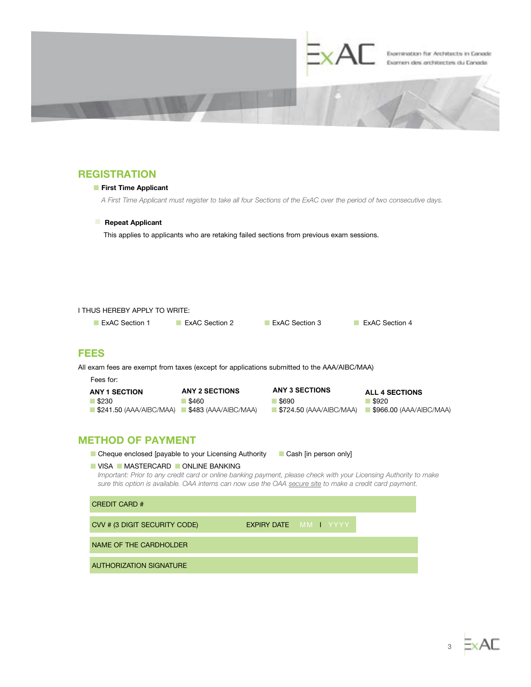

# **REGISTRATION**

### ■ First Time Applicant

*A First Time Applicant must register to take all four Sections of the ExAC over the period of two consecutive days.*

#### ■ Repeat Applicant

This applies to applicants who are retaking failed sections from previous exam sessions.

### I THUS HEREBY APPLY TO WRITE:

■ ExAC Section 1 ■ ExAC Section 2 ■ ExAC Section 3 ■ ExAC Section 4

### FEES

All exam fees are exempt from taxes (except for applications submitted to the AAA/AIBC/MAA)

Fees for:

| <b>ANY 1 SECTION</b>                               | <b>ANY 2 SECTIONS</b> | <b>ANY 3 SECTIONS</b>                  | <b>ALL 4 SECTIONS</b>                  |
|----------------------------------------------------|-----------------------|----------------------------------------|----------------------------------------|
| ◢ \$230                                            | \$460                 | \$690                                  | \$920                                  |
| ■ \$241.50 (AAA/AIBC/MAA) ■ \$483 (AAA/AIBC/MAA) → |                       | $\blacksquare$ \$724.50 (AAA/AIBC/MAA) | $\blacksquare$ \$966.00 (AAA/AIBC/MAA) |

## METHOD OF PAYMENT

■ Cheque enclosed [payable to your Licensing Authority ■ Cash [in person only]

### ■ VISA ■ MASTERCARD ■ ONLINE BANKING

*Important: Prior to any credit card or online banking payment, please check with your Licensing Authority to make sure this option is available. OAA interns can now use the OAA [secure site](https://secure.oaa.on.ca/OAA/Store/StoreHome.aspx?Store_Categories=4&Store_Category_Tabs=4#Store_Category_Tabs) to make a credit card payment.*

| <b>CREDIT CARD #</b>           |                              |
|--------------------------------|------------------------------|
| CVV # (3 DIGIT SECURITY CODE)  | <b>EXPIRY DATE</b> MM I YYYY |
| NAME OF THE CARDHOLDER         |                              |
| <b>AUTHORIZATION SIGNATURE</b> |                              |